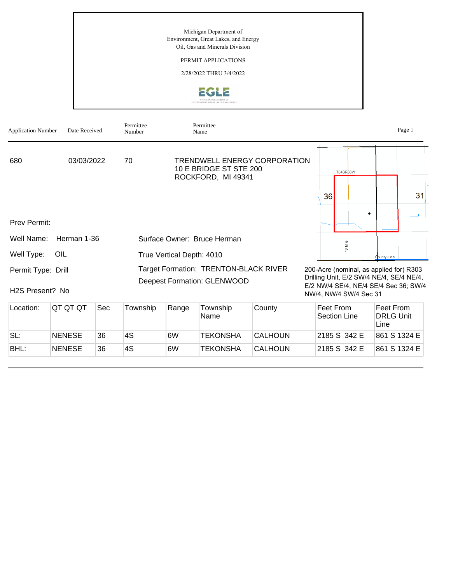Michigan Department of Environment, Great Lakes, and Energy Oil, Gas and Minerals Division

## PERMIT APPLICATIONS

2/28/2022 THRU 3/4/2022



| <b>Application Number</b>             | Date Received |     | Permittee<br>Number                                                         |       | Permittee<br>Name                            |                              |                                                                                                                                                        |                           |                                   | Page 1 |
|---------------------------------------|---------------|-----|-----------------------------------------------------------------------------|-------|----------------------------------------------|------------------------------|--------------------------------------------------------------------------------------------------------------------------------------------------------|---------------------------|-----------------------------------|--------|
| 680                                   | 03/03/2022    |     | 70                                                                          |       | 10 E BRIDGE ST STE 200<br>ROCKFORD, MI 49341 | TRENDWELL ENERGY CORPORATION |                                                                                                                                                        | T04SR06W                  |                                   |        |
|                                       |               |     |                                                                             |       |                                              |                              | 36                                                                                                                                                     |                           |                                   | 31     |
| Prev Permit:                          |               |     |                                                                             |       |                                              |                              |                                                                                                                                                        |                           |                                   |        |
| Well Name:                            | Herman 1-36   |     |                                                                             |       | Surface Owner: Bruce Herman                  |                              |                                                                                                                                                        |                           |                                   |        |
| Well Type:                            | OIL           |     | True Vertical Depth: 4010                                                   |       |                                              |                              |                                                                                                                                                        |                           | <b>County Line</b>                |        |
| Permit Type: Drill<br>H2S Present? No |               |     | Target Formation: TRENTON-BLACK RIVER<br><b>Deepest Formation: GLENWOOD</b> |       |                                              |                              | 200-Acre (nominal, as applied for) R303<br>Drilling Unit, E/2 SW/4 NE/4, SE/4 NE/4,<br>E/2 NW/4 SE/4, NE/4 SE/4 Sec 36; SW/4<br>NW/4, NW/4 SW/4 Sec 31 |                           |                                   |        |
| Location:                             | IQT QT QT     | Sec | Township                                                                    | Range | Township<br>Nomo.                            | County                       |                                                                                                                                                        | Feet From<br>Soction Lino | Feet From<br>$DDI$ $C$ $I$ $Inif$ |        |

| Location: | ושו שו שו     | <b>Dec</b> | TOWNSNID | Range | TOWNSNID<br>Name | COUNTY         | Feet From<br>Section Line | <b>Feet From</b><br><b>DRLG Unit</b><br>Line |
|-----------|---------------|------------|----------|-------|------------------|----------------|---------------------------|----------------------------------------------|
| SL:       | <b>NENESE</b> | 36         | 4S       | 6W    | TEKONSHA         | <b>CALHOUN</b> | 12185 S 342 E             | 861 S 1324 E                                 |
| BHL:      | <b>NENESE</b> | 36         | 4S       | 6W    | TEKONSHA         | <b>CALHOUN</b> | 2185 S 342 E              | 861 S 1324 E                                 |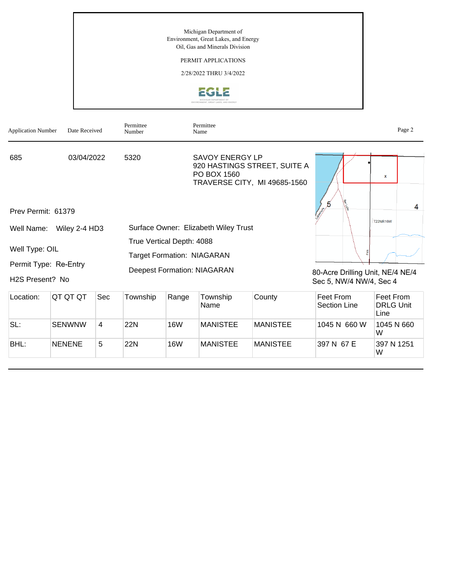Michigan Department of Environment, Great Lakes, and Energy Oil, Gas and Minerals Division

## PERMIT APPLICATIONS

2/28/2022 THRU 3/4/2022





| Location: | <b>QT QT QT</b> | Sec            | Township | Range      | Township<br>Name | County          | Feet From<br>Section Line | Feet From<br><b>DRLG Unit</b><br>Line |
|-----------|-----------------|----------------|----------|------------|------------------|-----------------|---------------------------|---------------------------------------|
| SL:       | <b>SENWNW</b>   | $\overline{4}$ | 22N      | <b>16W</b> | MANISTEE         | MANISTEE        | 1045 N 660 W              | 1045 N 660<br>W                       |
| BHL:      | <b>NENENE</b>   | 5              | 22N      | <b>16W</b> | MANISTEE         | <b>MANISTEE</b> | 397 N 67 E                | 397 N 1251<br>W                       |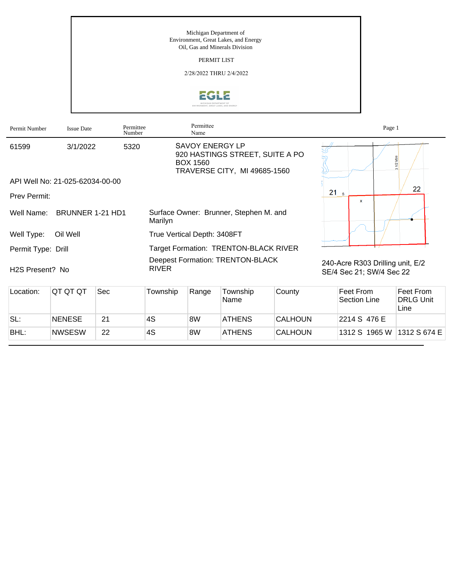Michigan Department of Environment, Great Lakes, and Energy Oil, Gas and Minerals Division

PERMIT LIST

2/28/2022 THRU 2/4/2022



| Permit Number                | <b>Issue Date</b>               | Permittee<br>Number |                                                         | Permittee<br>Name                         |                                                                 |                |                                                              | Page 1                    |                                       |
|------------------------------|---------------------------------|---------------------|---------------------------------------------------------|-------------------------------------------|-----------------------------------------------------------------|----------------|--------------------------------------------------------------|---------------------------|---------------------------------------|
| 61599                        | 3/1/2022                        | 5320                |                                                         | <b>SAVOY ENERGY LP</b><br><b>BOX 1560</b> | 920 HASTINGS STREET, SUITE A PO<br>TRAVERSE CITY, MI 49685-1560 |                |                                                              |                           | 1/2 Mile<br>$\sim$                    |
|                              | API Well No: 21-025-62034-00-00 |                     |                                                         |                                           |                                                                 |                |                                                              |                           |                                       |
| Prev Permit:                 |                                 |                     |                                                         |                                           |                                                                 |                | 21 <sub>s</sub>                                              | $\mathbf{x}$              | 22                                    |
| Well Name:                   | BRUNNER 1-21 HD1                |                     | Surface Owner: Brunner, Stephen M. and<br>Marilyn       |                                           |                                                                 |                |                                                              |                           |                                       |
| Well Type:                   | Oil Well                        |                     | True Vertical Depth: 3408FT                             |                                           |                                                                 |                |                                                              |                           |                                       |
| Permit Type: Drill           |                                 |                     | Target Formation: TRENTON-BLACK RIVER                   |                                           |                                                                 |                |                                                              |                           |                                       |
| H <sub>2</sub> S Present? No |                                 |                     | <b>Deepest Formation: TRENTON-BLACK</b><br><b>RIVER</b> |                                           |                                                                 |                | 240-Acre R303 Drilling unit, E/2<br>SE/4 Sec 21; SW/4 Sec 22 |                           |                                       |
| Location:                    | QT QT QT                        | Sec                 | Township                                                | Range                                     | Township<br>Name                                                | County         |                                                              | Feet From<br>Section Line | Feet From<br><b>DRLG Unit</b><br>Line |
| SL:                          | <b>NENESE</b>                   | 21                  | 4S                                                      | 8W                                        | <b>ATHENS</b>                                                   | <b>CALHOUN</b> |                                                              | 2214 S 476 E              |                                       |

BHL: NWSESW 22 4S 8W ATHENS CALHOUN 1312 S 1965 W 1312 S 674 E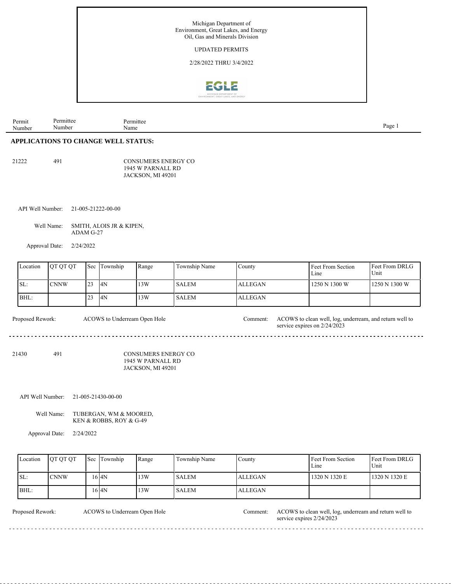

| $\mathbf{r}$<br>Permit<br>. .<br>Number | ∽<br>m<br>Numbe | mitte<br>Name | Page |
|-----------------------------------------|-----------------|---------------|------|
|                                         |                 |               |      |

## **APPLICATIONS TO CHANGE WELL STATUS:**

| ◠<br>21 |  |
|---------|--|
|---------|--|

491 CONSUMERS ENERGY CO 1945 W PARNALL RD JACKSON, MI 49201

API Well Number: 21-005-21222-00-00

Well Name: SMITH, ALOIS JR & KIPEN, ADAM G-27

Approval Date: 2/24/2022

| Location | <b>IOT OT OT</b> | <b>Sec</b> | Township | Range | Township Name | County         | Feet From Section<br>$L$ me | <b>Feet From DRLG</b><br>Unit |
|----------|------------------|------------|----------|-------|---------------|----------------|-----------------------------|-------------------------------|
| SL:      | <b>CNNW</b>      | 123        | 4N       | 13W   | <b>SALEM</b>  | <b>ALLEGAN</b> | 1250 N 1300 W               | 1250 N 1300 W                 |
| BHL:     |                  |            | 4N       | 13W   | <b>SALEM</b>  | <b>ALLEGAN</b> |                             |                               |

ACOWS to Underream Open Hole Comment:

Proposed Rework: ACOWS to clean well, log, underream, and return well to

 $- - - - - - -$ 21430 491 CONSUMERS ENERGY CO 1945 W PARNALL RD

JACKSON, MI 49201

API Well Number: 21-005-21430-00-00

Well Name: TUBERGAN, WM & MOORED, KEN & ROBBS, ROY & G-49

Approval Date: 2/24/2022

| Location | <b>OT OT OT</b> | <b>Sec Township</b> | Range | Township Name | County         | Feet From Section<br>Line | <b>Feet From DRLG</b><br>Unit |
|----------|-----------------|---------------------|-------|---------------|----------------|---------------------------|-------------------------------|
| SL:      | <b>CNNW</b>     | 6 I4N               | 13W   | l SALEM       | <b>ALLEGAN</b> | 1320 N 1320 E             | 1320 N 1320 E                 |
| BHL:     |                 | 16 I 4 N            | 13W   | <b>SALEM</b>  | <b>ALLEGAN</b> |                           |                               |

ACOWS to Underream Open Hole

Proposed Rework: ACOWS to Underream Open Hole Comment: ACOWS to clean well, log, underream and return well to service expires 2/24/2023

service expires on 2/24/2023

 $- - - -$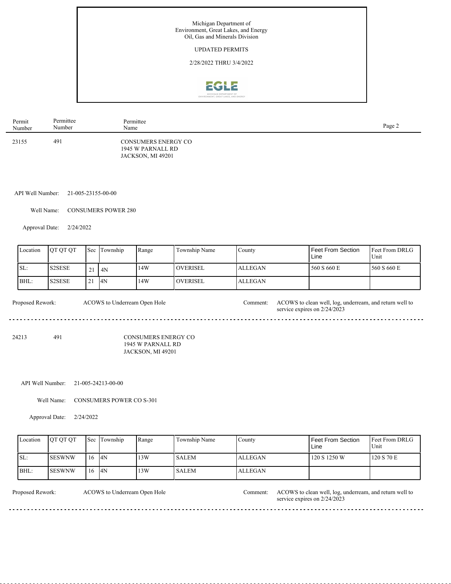

| Permit | Permittee | Permittee                                                     | Page 2 |
|--------|-----------|---------------------------------------------------------------|--------|
| Number | Number    | Name                                                          |        |
| 23155  | 491       | CONSUMERS ENERGY CO<br>1945 W PARNALL RD<br>JACKSON, MI 49201 |        |

API Well Number: 21-005-23155-00-00

Well Name: CONSUMERS POWER 280

Approval Date: 2/24/2022

|      | Location | <b>OT OT OT</b> |           | <b>Sec Township</b> | Range | Township Name   | Countv         | Feet From Section<br>Line | <b>Feet From DRLG</b><br>Unit |
|------|----------|-----------------|-----------|---------------------|-------|-----------------|----------------|---------------------------|-------------------------------|
| ISL: |          | <b>S2SESE</b>   | 21        | 4N                  | 14W   | <b>OVERISEL</b> | <b>ALLEGAN</b> | 560 S 660 E               | 560 S 660 E                   |
| BHL: |          | S2SESE          | $\bigcap$ | 14N                 | 14W   | <b>OVERISEL</b> | ALLEGAN        |                           |                               |

| Proposed Rework: | ACOWS to Underream Open Hole | .`omment: | ACOWS to clean well, log, underream, and return well to<br>service expires on $2/24/2023$ |
|------------------|------------------------------|-----------|-------------------------------------------------------------------------------------------|
|                  |                              |           |                                                                                           |

24213 491 CONSUMERS ENERGY CO 1945 W PARNALL RD JACKSON, MI 49201

## API Well Number: 21-005-24213-00-00

Well Name: CONSUMERS POWER CO S-301

Approval Date: 2/24/2022

<u>. . . . . . . . . . . . .</u>

| Location | <b>OT OT OT</b> |              | Sec Township | Range | Township Name | County         | Feet From Section<br>Line | Feet From DRLG<br>Unit |
|----------|-----------------|--------------|--------------|-------|---------------|----------------|---------------------------|------------------------|
| SL:      | <b>SESWNW</b>   | 16           | 4N           | 13W   | <b>SALEM</b>  | <b>ALLEGAN</b> | 120 S 1250 W              | 120 S 70 E             |
| BHL:     | ISESWNW         | $^{\circ}16$ | 14N          | 13W   | <b>SALEM</b>  | <b>ALLEGAN</b> |                           |                        |

ACOWS to Underream Open Hole

Proposed Rework: ACOWS to Underream Open Hole Comment: ACOWS to clean well, log, underream, and return well to service expires on  $2/24/2023$ 

 $- - - - - -$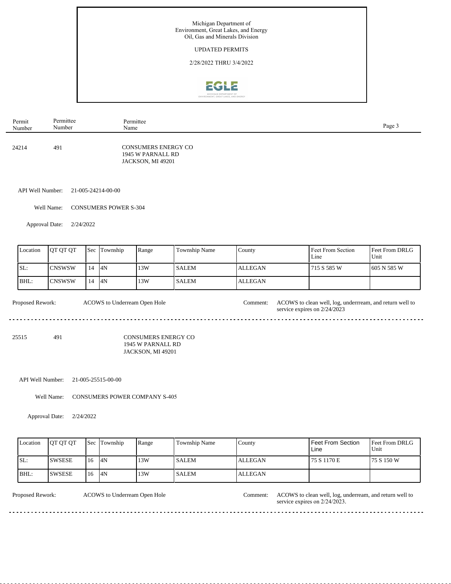

| Permit | Permittee | Permittee                                                            | Page 3 |
|--------|-----------|----------------------------------------------------------------------|--------|
| Number | Number    | Name                                                                 |        |
| 24214  | 491       | <b>CONSUMERS ENERGY CO</b><br>1945 W PARNALL RD<br>JACKSON, MI 49201 |        |

API Well Number: 21-005-24214-00-00

Well Name: CONSUMERS POWER S-304

Approval Date: 2/24/2022

| Location                                         | <b>OT OT OT</b> | Sec | Township | Range                                                                | Township Name | County         | Feet From Section<br>Line                                                                | Feet From DRLG<br>Unit |
|--------------------------------------------------|-----------------|-----|----------|----------------------------------------------------------------------|---------------|----------------|------------------------------------------------------------------------------------------|------------------------|
| SL:                                              | <b>CNSWSW</b>   | 14  | 4N       | 13W                                                                  | <b>SALEM</b>  | <b>ALLEGAN</b> | 715 S 585 W                                                                              | 605 N 585 W            |
| BHL:                                             | <b>CNSWSW</b>   | 14  | 4N       | 13W                                                                  | <b>SALEM</b>  | <b>ALLEGAN</b> |                                                                                          |                        |
| Proposed Rework:<br>ACOWS to Underream Open Hole |                 |     |          |                                                                      |               | Comment:       | ACOWS to clean well, log, underrream, and return well to<br>service expires on 2/24/2023 |                        |
| 25515                                            | 491             |     |          | <b>CONSUMERS ENERGY CO</b><br>1945 W PARNALL RD<br>JACKSON, MI 49201 |               |                |                                                                                          |                        |

API Well Number: 21-005-25515-00-00

Well Name: CONSUMERS POWER COMPANY S-405

Approval Date: 2/24/2022

| Location | <b>OT OT OT</b> |      | <b>Sec Township</b> | Range | Township Name | County         | <b>Feet From Section</b><br>Line | <b>Feet From DRLG</b><br>Unit |
|----------|-----------------|------|---------------------|-------|---------------|----------------|----------------------------------|-------------------------------|
| ISL:     | <b>ISWSESE</b>  | 116  | 4N                  | 13W   | <b>SALEM</b>  | <b>ALLEGAN</b> | 75 S 1170 E                      | 175 S 150 W                   |
| BHL:     | <b>ISWSESE</b>  | l 16 | 4N                  | 13W   | <b>SALEM</b>  | <b>ALLEGAN</b> |                                  |                               |

ACOWS to Underream Open Hole Comment:

Proposed Rework: ACOWS to clean well, log, underream, and return well to service expires on 2/24/2023.